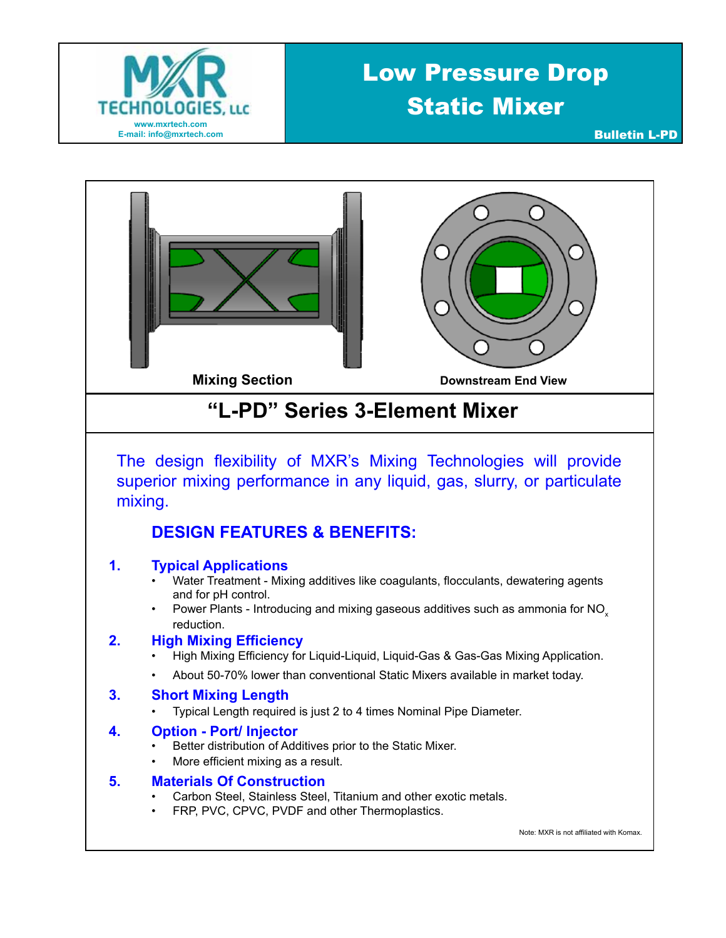

## Low Pressure Drop Static Mixer